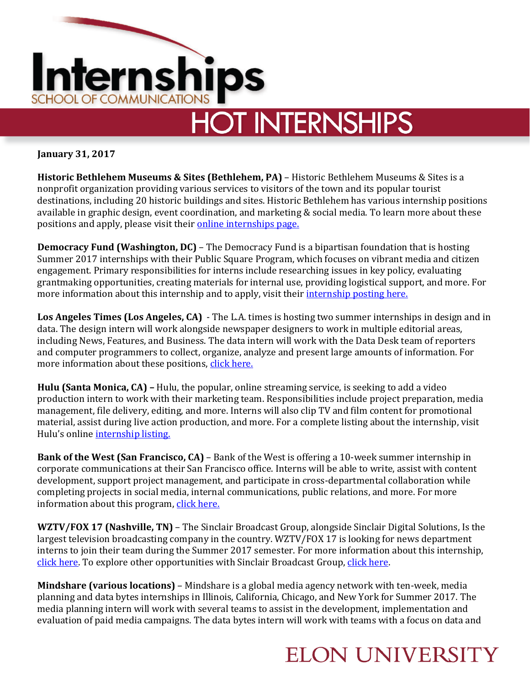

**January 31, 2017**

**Historic Bethlehem Museums & Sites (Bethlehem, PA)** – Historic Bethlehem Museums & Sites is a nonprofit organization providing various services to visitors of the town and its popular tourist destinations, including 20 historic buildings and sites. Historic Bethlehem has various internship positions available in graphic design, event coordination, and marketing & social media. To learn more about these positions and apply, please visit their [online internships page.](http://historicbethlehem.org/internships/)

**Democracy Fund (Washington, DC)** – The Democracy Fund is a bipartisan foundation that is hosting Summer 2017 internships with their Public Square Program, which focuses on vibrant media and citizen engagement. Primary responsibilities for interns include researching issues in key policy, evaluating grantmaking opportunities, creating materials for internal use, providing logistical support, and more. For more information about this internship and to apply, visit their [internship posting here.](http://democracyfund.applytojob.com/apply/job_20170122212858_03NH6R1O1IJZFXUK/Vibrant-Media-The-Public-Square-Internship-Summer-2017?source=INDE)

**Los Angeles Times (Los Angeles, CA)** - The L.A. times is hosting two summer internships in design and in data. The design intern will work alongside newspaper designers to work in multiple editorial areas, including News, Features, and Business. The data intern will work with the Data Desk team of reporters and computer programmers to collect, organize, analyze and present large amounts of information. For more information about these positions, [click here.](https://latimes.submittable.com/submit)

**Hulu (Santa Monica, CA) –** Hulu, the popular, online streaming service, is seeking to add a video production intern to work with their marketing team. Responsibilities include project preparation, media management, file delivery, editing, and more. Interns will also clip TV and film content for promotional material, assist during live action production, and more. For a complete listing about the internship, visit Hulu's online [internship listing.](https://www.hulu.com/jobs/positions/oroe4fw7)

**Bank of the West (San Francisco, CA)** – Bank of the West is offering a 10-week summer internship in corporate communications at their San Francisco office. Interns will be able to write, assist with content development, support project management, and participate in cross-departmental collaboration while completing projects in social media, internal communications, public relations, and more. For more information about this program, [click here.](https://group.bnpparibas/en/careers/offers-world/full-time/corporate-communications-intern?src=JB-10121)

**WZTV/FOX 17 (Nashville, TN)** – The Sinclair Broadcast Group, alongside Sinclair Digital Solutions, Is the largest television broadcasting company in the country. WZTV/FOX 17 is looking for news department interns to join their team during the Summer 2017 semester. For more information about this internship, [click here.](https://sbgtv-openhire.silkroad.com/epostings/index.cfm?fuseaction=app.dspjob&jobid=6922&company_id=17011&version=1&jobBoardId=3338) To explore other opportunities with Sinclair Broadcast Group, [click here.](https://sbgtv-openhire.silkroad.com/epostings/index.cfm?version=1&company_id=17011)

**Mindshare (various locations)** – Mindshare is a global media agency network with ten-week, media planning and data bytes internships in Illinois, California, Chicago, and New York for Summer 2017. The media planning intern will work with several teams to assist in the development, implementation and evaluation of paid media campaigns. The data bytes intern will work with teams with a focus on data and

## **ELON UNIVERSITY**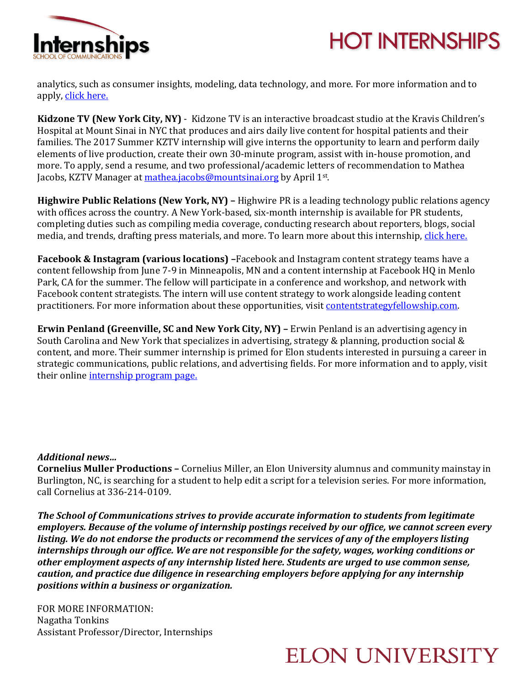



analytics, such as consumer insights, modeling, data technology, and more. For more information and to apply, [click here.](https://sjobs.brassring.com/TGWebHost/searchopenings.aspx?SID=%5eAe8wL43v5bEFOJfiYa7XxmWLwdEIUOV4qlEs2qMzkFdKBuednXwflr808w8puf59)

**Kidzone TV (New York City, NY)** - Kidzone TV is an interactive broadcast studio at the Kravis Children's Hospital at Mount Sinai in NYC that produces and airs daily live content for hospital patients and their families. The 2017 Summer KZTV internship will give interns the opportunity to learn and perform daily elements of live production, create their own 30-minute program, assist with in-house promotion, and more. To apply, send a resume, and two professional/academic letters of recommendation to Mathea Jacobs, KZTV Manager at [mathea.jacobs@mountsinai.org](mailto:mathea.jacobs@mountsinai.org) by April 1st.

**Highwire Public Relations (New York, NY) –** Highwire PR is a leading technology public relations agency with offices across the country. A New York-based, six-month internship is available for PR students, completing duties such as compiling media coverage, conducting research about reporters, blogs, social media, and trends, drafting press materials, and more. To learn more about this internship, [click here.](http://jobs.jobvite.com/careers/highwire-public-relations/job/omHH4fwy?__jvst=Job%20Board&__jvsd=Indeed)

**Facebook & Instagram (various locations) –**Facebook and Instagram content strategy teams have a content fellowship from June 7-9 in Minneapolis, MN and a content internship at Facebook HQ in Menlo Park, CA for the summer. The fellow will participate in a conference and workshop, and network with Facebook content strategists. The intern will use content strategy to work alongside leading content practitioners. For more information about these opportunities, visi[t contentstrategyfellowship.com.](file:///C:/Users/ComInternships/Desktop/Hotlists/2016-17/Winter,%20Spring/contentstrategyfellowship.com)

**Erwin Penland (Greenville, SC and New York City, NY) –** Erwin Penland is an advertising agency in South Carolina and New York that specializes in advertising, strategy & planning, production social & content, and more. Their summer internship is primed for Elon students interested in pursuing a career in strategic communications, public relations, and advertising fields. For more information and to apply, visit their online [internship program page.](http://internships.erwinpenland.com/)

## *Additional news…*

**Cornelius Muller Productions –** Cornelius Miller, an Elon University alumnus and community mainstay in Burlington, NC, is searching for a student to help edit a script for a television series. For more information, call Cornelius at 336-214-0109.

*The School of Communications strives to provide accurate information to students from legitimate employers. Because of the volume of internship postings received by our office, we cannot screen every listing. We do not endorse the products or recommend the services of any of the employers listing internships through our office. We are not responsible for the safety, wages, working conditions or other employment aspects of any internship listed here. Students are urged to use common sense, caution, and practice due diligence in researching employers before applying for any internship positions within a business or organization.*

FOR MORE INFORMATION: Nagatha Tonkins Assistant Professor/Director, Internships

## **ELON UNIVERSITY**